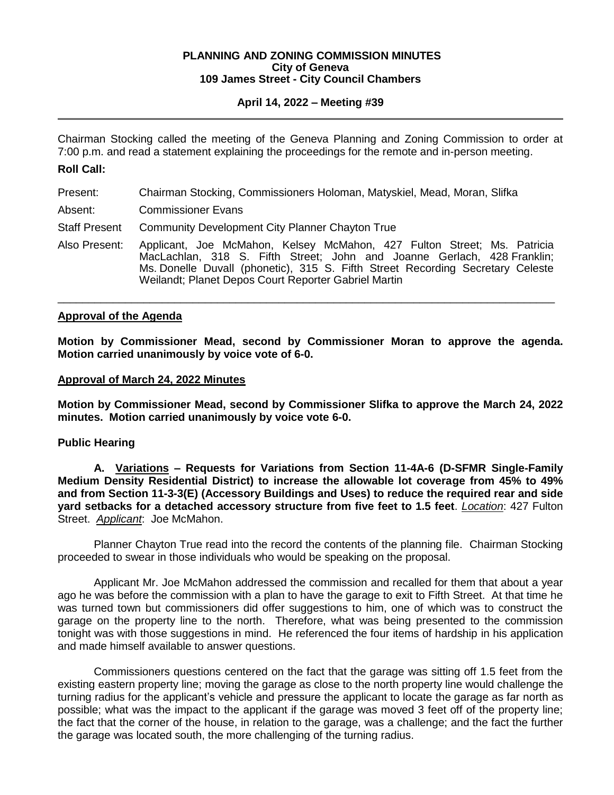#### **PLANNING AND ZONING COMMISSION MINUTES City of Geneva 109 James Street - City Council Chambers**

# **April 14, 2022 – Meeting #39**

Chairman Stocking called the meeting of the Geneva Planning and Zoning Commission to order at 7:00 p.m. and read a statement explaining the proceedings for the remote and in-person meeting.

## **Roll Call:**

- Present: Chairman Stocking, Commissioners Holoman, Matyskiel, Mead, Moran, Slifka
- Absent: Commissioner Evans
- Staff Present Community Development City Planner Chayton True
- Also Present: Applicant, Joe McMahon, Kelsey McMahon, 427 Fulton Street; Ms. Patricia MacLachlan, 318 S. Fifth Street; John and Joanne Gerlach, 428 Franklin; Ms. Donelle Duvall (phonetic), 315 S. Fifth Street Recording Secretary Celeste Weilandt; Planet Depos Court Reporter Gabriel Martin

\_\_\_\_\_\_\_\_\_\_\_\_\_\_\_\_\_\_\_\_\_\_\_\_\_\_\_\_\_\_\_\_\_\_\_\_\_\_\_\_\_\_\_\_\_\_\_\_\_\_\_\_\_\_\_\_\_\_\_\_\_\_\_\_\_\_\_\_\_\_\_\_\_\_\_\_\_\_\_\_\_

#### **Approval of the Agenda**

**Motion by Commissioner Mead, second by Commissioner Moran to approve the agenda. Motion carried unanimously by voice vote of 6-0.**

## **Approval of March 24, 2022 Minutes**

**Motion by Commissioner Mead, second by Commissioner Slifka to approve the March 24, 2022 minutes. Motion carried unanimously by voice vote 6-0.** 

# **Public Hearing**

**A. Variations – Requests for Variations from Section 11-4A-6 (D-SFMR Single-Family Medium Density Residential District) to increase the allowable lot coverage from 45% to 49% and from Section 11-3-3(E) (Accessory Buildings and Uses) to reduce the required rear and side yard setbacks for a detached accessory structure from five feet to 1.5 feet**. *Location*: 427 Fulton Street. *Applicant*: Joe McMahon.

Planner Chayton True read into the record the contents of the planning file. Chairman Stocking proceeded to swear in those individuals who would be speaking on the proposal.

Applicant Mr. Joe McMahon addressed the commission and recalled for them that about a year ago he was before the commission with a plan to have the garage to exit to Fifth Street. At that time he was turned town but commissioners did offer suggestions to him, one of which was to construct the garage on the property line to the north. Therefore, what was being presented to the commission tonight was with those suggestions in mind. He referenced the four items of hardship in his application and made himself available to answer questions.

Commissioners questions centered on the fact that the garage was sitting off 1.5 feet from the existing eastern property line; moving the garage as close to the north property line would challenge the turning radius for the applicant's vehicle and pressure the applicant to locate the garage as far north as possible; what was the impact to the applicant if the garage was moved 3 feet off of the property line; the fact that the corner of the house, in relation to the garage, was a challenge; and the fact the further the garage was located south, the more challenging of the turning radius.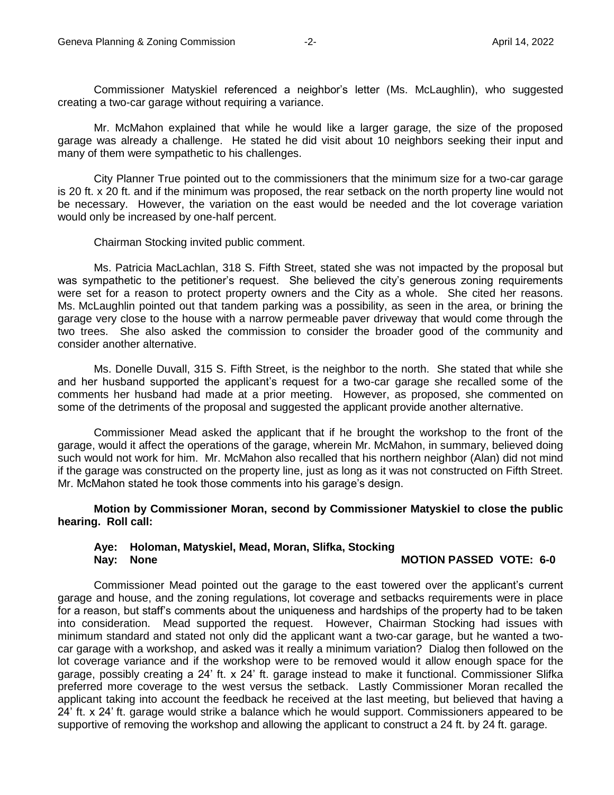Commissioner Matyskiel referenced a neighbor's letter (Ms. McLaughlin), who suggested creating a two-car garage without requiring a variance.

Mr. McMahon explained that while he would like a larger garage, the size of the proposed garage was already a challenge. He stated he did visit about 10 neighbors seeking their input and many of them were sympathetic to his challenges.

City Planner True pointed out to the commissioners that the minimum size for a two-car garage is 20 ft. x 20 ft. and if the minimum was proposed, the rear setback on the north property line would not be necessary. However, the variation on the east would be needed and the lot coverage variation would only be increased by one-half percent.

Chairman Stocking invited public comment.

Ms. Patricia MacLachlan, 318 S. Fifth Street, stated she was not impacted by the proposal but was sympathetic to the petitioner's request. She believed the city's generous zoning requirements were set for a reason to protect property owners and the City as a whole. She cited her reasons. Ms. McLaughlin pointed out that tandem parking was a possibility, as seen in the area, or brining the garage very close to the house with a narrow permeable paver driveway that would come through the two trees. She also asked the commission to consider the broader good of the community and consider another alternative.

Ms. Donelle Duvall, 315 S. Fifth Street, is the neighbor to the north. She stated that while she and her husband supported the applicant's request for a two-car garage she recalled some of the comments her husband had made at a prior meeting. However, as proposed, she commented on some of the detriments of the proposal and suggested the applicant provide another alternative.

Commissioner Mead asked the applicant that if he brought the workshop to the front of the garage, would it affect the operations of the garage, wherein Mr. McMahon, in summary, believed doing such would not work for him. Mr. McMahon also recalled that his northern neighbor (Alan) did not mind if the garage was constructed on the property line, just as long as it was not constructed on Fifth Street. Mr. McMahon stated he took those comments into his garage's design.

**Motion by Commissioner Moran, second by Commissioner Matyskiel to close the public hearing. Roll call:** 

#### **Aye: Holoman, Matyskiel, Mead, Moran, Slifka, Stocking Nay: None MOTION PASSED VOTE: 6-0**

Commissioner Mead pointed out the garage to the east towered over the applicant's current garage and house, and the zoning regulations, lot coverage and setbacks requirements were in place for a reason, but staff's comments about the uniqueness and hardships of the property had to be taken into consideration. Mead supported the request. However, Chairman Stocking had issues with minimum standard and stated not only did the applicant want a two-car garage, but he wanted a twocar garage with a workshop, and asked was it really a minimum variation? Dialog then followed on the lot coverage variance and if the workshop were to be removed would it allow enough space for the garage, possibly creating a 24' ft. x 24' ft. garage instead to make it functional. Commissioner Slifka preferred more coverage to the west versus the setback. Lastly Commissioner Moran recalled the applicant taking into account the feedback he received at the last meeting, but believed that having a 24' ft. x 24' ft. garage would strike a balance which he would support. Commissioners appeared to be supportive of removing the workshop and allowing the applicant to construct a 24 ft. by 24 ft. garage.